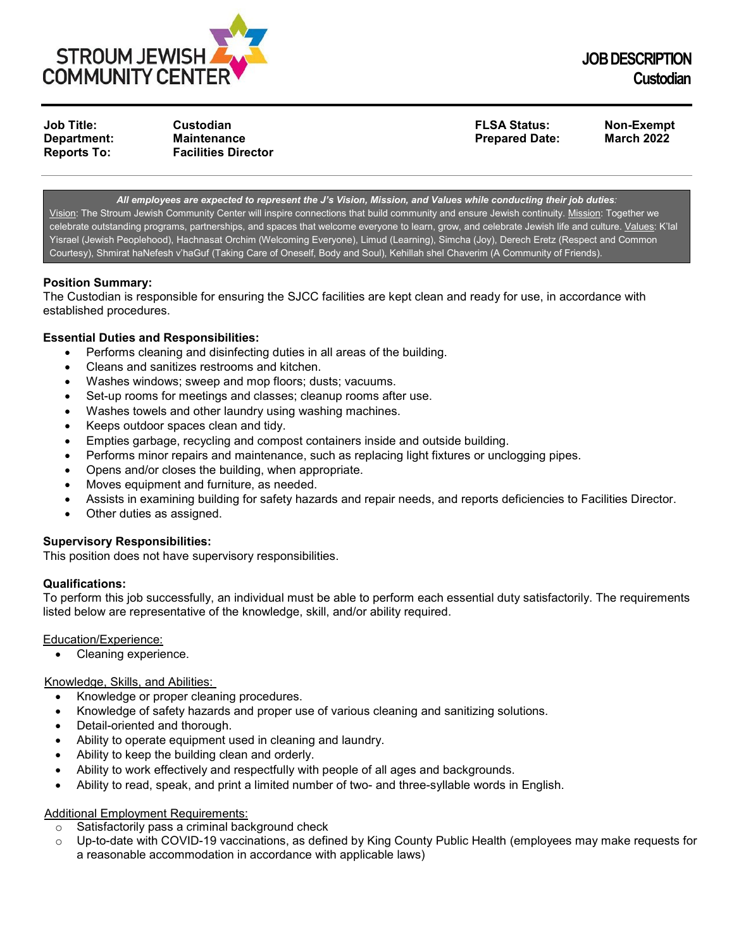

**Job Title: Custodian FLSA Status: Non-Exempt Department: Maintenance Prepared Date: March 2022 Reports To: Facilities Director**

*All employees are expected to represent the J's Vision, Mission, and Values while conducting their job duties:* Vision: The Stroum Jewish Community Center will inspire connections that build community and ensure Jewish continuity. Mission: Together we celebrate outstanding programs, partnerships, and spaces that welcome everyone to learn, grow, and celebrate Jewish life and culture. Values: K'lal Yisrael (Jewish Peoplehood), Hachnasat Orchim (Welcoming Everyone), Limud (Learning), Simcha (Joy), Derech Eretz (Respect and Common Courtesy), Shmirat haNefesh v'haGuf (Taking Care of Oneself, Body and Soul), Kehillah shel Chaverim (A Community of Friends).

# **Position Summary:**

The Custodian is responsible for ensuring the SJCC facilities are kept clean and ready for use, in accordance with established procedures.

### **Essential Duties and Responsibilities:**

- Performs cleaning and disinfecting duties in all areas of the building.
- Cleans and sanitizes restrooms and kitchen.
- Washes windows; sweep and mop floors; dusts; vacuums.
- Set-up rooms for meetings and classes; cleanup rooms after use.
- Washes towels and other laundry using washing machines.
- Keeps outdoor spaces clean and tidy.
- Empties garbage, recycling and compost containers inside and outside building.
- Performs minor repairs and maintenance, such as replacing light fixtures or unclogging pipes.
- Opens and/or closes the building, when appropriate.
- Moves equipment and furniture, as needed.
- Assists in examining building for safety hazards and repair needs, and reports deficiencies to Facilities Director.
- Other duties as assigned.

#### **Supervisory Responsibilities:**

This position does not have supervisory responsibilities.

#### **Qualifications:**

To perform this job successfully, an individual must be able to perform each essential duty satisfactorily. The requirements listed below are representative of the knowledge, skill, and/or ability required.

Education/Experience:

• Cleaning experience.

#### Knowledge, Skills, and Abilities:

- Knowledge or proper cleaning procedures.
- Knowledge of safety hazards and proper use of various cleaning and sanitizing solutions.
- Detail-oriented and thorough.
- Ability to operate equipment used in cleaning and laundry.
- Ability to keep the building clean and orderly.
- Ability to work effectively and respectfully with people of all ages and backgrounds.
- Ability to read, speak, and print a limited number of two- and three-syllable words in English.

# Additional Employment Requirements:

- $\circ$  Satisfactorily pass a criminal background check<br> $\circ$  Up-to-date with COVID-19 vaccinations as defin
- Up-to-date with COVID-19 vaccinations, as defined by King County Public Health (employees may make requests for a reasonable accommodation in accordance with applicable laws)